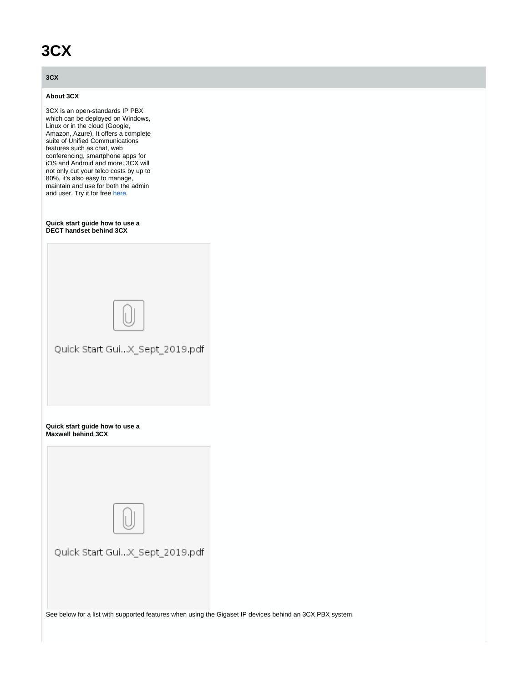# **3CX**

## **3CX**

### **About 3CX**

3CX is an open-standards IP PBX which can be deployed on Windows, Linux or in the cloud (Google, Amazon, Azure). It offers a complete suite of Unified Communications features such as chat, web conferencing, smartphone apps for iOS and Android and more. 3CX will not only cut your telco costs by up to 80%, it's also easy to manage, maintain and use for both the admin and user. Try it for free [here](https://www.3cx.com/phone-system/download-phone-system/?src=gigaset).

#### **Quick start guide how to use a DECT handset behind 3CX**

| Quick Start GuiX_Sept_2019.pdf                       |
|------------------------------------------------------|
| Quick start guide how to use a<br>Maxwell behind 3CX |
|                                                      |
|                                                      |
| Quick Start GuiX_Sept_2019.pdf                       |

See below for a list with supported features when using the Gigaset IP devices behind an 3CX PBX system.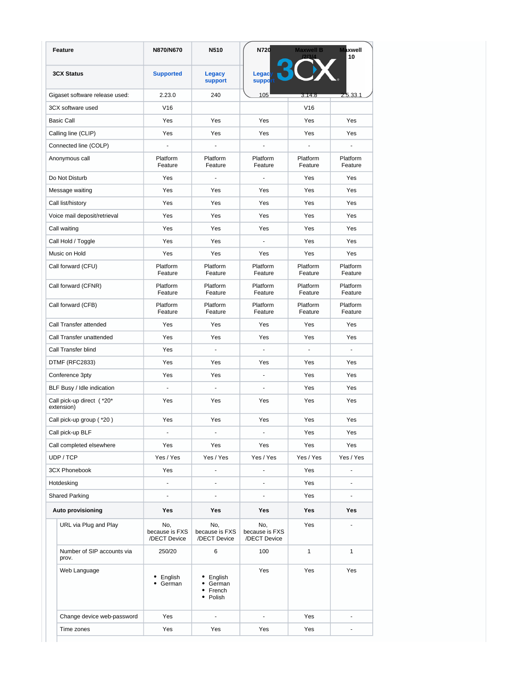| Feature                                  | N870/N670                             | N510                                      | N720                                  | <b>Maxwell B</b>    | <b>Maxwell</b><br>10 |
|------------------------------------------|---------------------------------------|-------------------------------------------|---------------------------------------|---------------------|----------------------|
| <b>3CX Status</b>                        | <b>Supported</b>                      | <b>Legacy</b><br>support                  | Legac<br>suppo                        |                     |                      |
| Gigaset software release used:           | 2.23.0                                | 240                                       | 105                                   | 3.14.8              | 2.5.33.1             |
| 3CX software used                        | V16                                   |                                           |                                       | V16                 |                      |
| <b>Basic Call</b>                        | Yes                                   | Yes                                       | Yes                                   | Yes                 | Yes                  |
| Calling line (CLIP)                      | Yes                                   | Yes                                       | Yes                                   | Yes                 | Yes                  |
| Connected line (COLP)                    | ä,                                    | $\omega$                                  | ä,                                    | ÷.                  |                      |
| Anonymous call                           | Platform<br>Feature                   | Platform<br>Feature                       | Platform<br>Feature                   | Platform<br>Feature | Platform<br>Feature  |
| Do Not Disturb                           | Yes                                   | $\blacksquare$                            | $\blacksquare$                        | Yes                 | Yes                  |
| Message waiting                          | Yes                                   | Yes                                       | Yes                                   | Yes                 | Yes                  |
| Call list/history                        | Yes                                   | Yes                                       | Yes                                   | Yes                 | Yes                  |
| Voice mail deposit/retrieval             | Yes                                   | Yes                                       | Yes                                   | Yes                 | Yes                  |
| Call waiting                             | Yes                                   | Yes                                       | Yes                                   | Yes                 | Yes                  |
| Call Hold / Toggle                       | Yes                                   | Yes                                       | $\blacksquare$                        | Yes                 | Yes                  |
| Music on Hold                            | Yes                                   | Yes                                       | Yes                                   | Yes                 | Yes                  |
| Call forward (CFU)                       | Platform<br>Feature                   | Platform<br>Feature                       | Platform<br>Feature                   | Platform<br>Feature | Platform<br>Feature  |
| Call forward (CFNR)                      | Platform<br>Feature                   | Platform<br>Feature                       | Platform<br>Feature                   | Platform<br>Feature | Platform<br>Feature  |
| Call forward (CFB)                       | Platform<br>Feature                   | Platform<br>Feature                       | Platform<br>Feature                   | Platform<br>Feature | Platform<br>Feature  |
| Call Transfer attended                   | Yes                                   | Yes                                       | Yes                                   | Yes                 | Yes                  |
| Call Transfer unattended                 | Yes                                   | Yes                                       | Yes                                   | Yes                 | Yes                  |
| Call Transfer blind                      | Yes                                   | $\mathcal{L}_{\mathcal{A}}$               | $\blacksquare$                        | $\blacksquare$      | $\blacksquare$       |
| DTMF (RFC2833)                           | Yes                                   | Yes                                       | Yes                                   | Yes                 | Yes                  |
| Conference 3pty                          | Yes                                   | Yes                                       | ÷.                                    | Yes                 | Yes                  |
| BLF Busy / Idle indication               |                                       | ä,                                        |                                       | Yes                 | Yes                  |
| Call pick-up direct ( *20*<br>extension) | Yes                                   | Yes                                       | Yes                                   | Yes                 | Yes                  |
| Call pick-up group ( *20)                | Yes                                   | Yes                                       | Yes                                   | Yes                 | Yes                  |
| Call pick-up BLF                         |                                       |                                           |                                       | Yes                 | Yes                  |
| Call completed elsewhere                 | Yes                                   | Yes                                       | Yes                                   | Yes                 | Yes                  |
| UDP / TCP                                | Yes / Yes                             | Yes / Yes                                 | Yes / Yes                             | Yes / Yes           | Yes / Yes            |
| <b>3CX Phonebook</b>                     | Yes                                   | ÷,                                        |                                       | Yes                 |                      |
| Hotdesking                               | $\frac{1}{2}$                         | $\blacksquare$                            |                                       | Yes                 |                      |
| <b>Shared Parking</b>                    | ä,                                    | ä,                                        |                                       | Yes                 |                      |
| <b>Auto provisioning</b>                 | Yes                                   | Yes                                       | Yes                                   | Yes                 | Yes                  |
| URL via Plug and Play                    | No,<br>because is FXS<br>/DECT Device | No,<br>because is FXS<br>/DECT Device     | No,<br>because is FXS<br>/DECT Device | Yes                 | ä,                   |
| Number of SIP accounts via<br>prov.      | 250/20                                | 6                                         | 100                                   | $\mathbf{1}$        | $\mathbf{1}$         |
| Web Language                             | • English<br>German                   | • English<br>German<br>French<br>• Polish | Yes                                   | Yes                 | Yes                  |
| Change device web-password               | Yes                                   | ä,                                        | ÷,                                    | Yes                 |                      |
| Time zones                               | Yes                                   | Yes                                       | Yes                                   | Yes                 |                      |